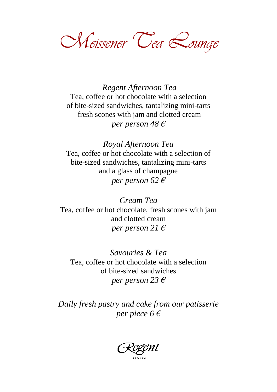*Meissener Tea Lounge*

*Regent Afternoon Tea* Tea, coffee or hot chocolate with a selection of bite-sized sandwiches, tantalizing mini-tarts fresh scones with jam and clotted cream *per person 48 €*

*Royal Afternoon Tea* Tea, coffee or hot chocolate with a selection of bite-sized sandwiches, tantalizing mini-tarts and a glass of champagne *per person 62 €*

*Cream Tea* Tea, coffee or hot chocolate, fresh scones with jam and clotted cream *per person 21 €*

*Savouries & Tea* Tea, coffee or hot chocolate with a selection of bite-sized sandwiches *per person 23 €*

*Daily fresh pastry and cake from our patisserie per piece 6 €*